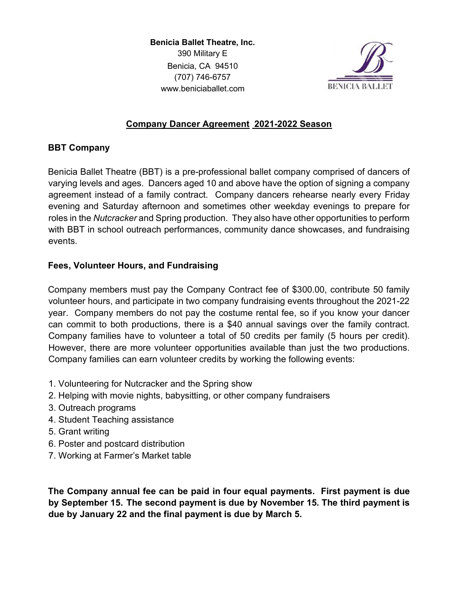Benicia Ballet Theatre, Inc. 390 Military E Benicia, CA 94510 (707) 746-6757 www.beniciaballet.com



# Company Dancer Agreement 2021-2022 Season

## BBT Company

Benicia Ballet Theatre (BBT) is a pre-professional ballet company comprised of dancers of varying levels and ages. Dancers aged 10 and above have the option of signing a company agreement instead of a family contract. Company dancers rehearse nearly every Friday evening and Saturday afternoon and sometimes other weekday evenings to prepare for roles in the Nutcracker and Spring production. They also have other opportunities to perform with BBT in school outreach performances, community dance showcases, and fundraising events.

## Fees, Volunteer Hours, and Fundraising

Company members must pay the Company Contract fee of \$300.00, contribute 50 family volunteer hours, and participate in two company fundraising events throughout the 2021-22 year. Company members do not pay the costume rental fee, so if you know your dancer can commit to both productions, there is a \$40 annual savings over the family contract. Company families have to volunteer a total of 50 credits per family (5 hours per credit). However, there are more volunteer opportunities available than just the two productions. Company families can earn volunteer credits by working the following events:

- 1. Volunteering for Nutcracker and the Spring show
- 2. Helping with movie nights, babysitting, or other company fundraisers
- 3. Outreach programs
- 4. Student Teaching assistance
- 5. Grant writing
- 6. Poster and postcard distribution
- 7. Working at Farmer's Market table

The Company annual fee can be paid in four equal payments. First payment is due by September 15. The second payment is due by November 15. The third payment is due by January 22 and the final payment is due by March 5.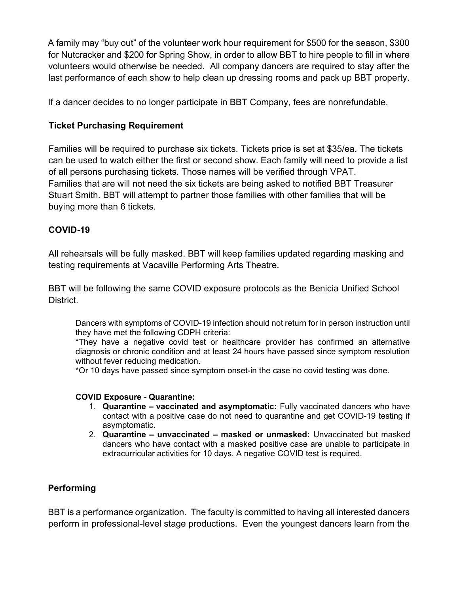A family may "buy out" of the volunteer work hour requirement for \$500 for the season, \$300 for Nutcracker and \$200 for Spring Show, in order to allow BBT to hire people to fill in where volunteers would otherwise be needed. All company dancers are required to stay after the last performance of each show to help clean up dressing rooms and pack up BBT property.

If a dancer decides to no longer participate in BBT Company, fees are nonrefundable.

# Ticket Purchasing Requirement

Families will be required to purchase six tickets. Tickets price is set at \$35/ea. The tickets can be used to watch either the first or second show. Each family will need to provide a list of all persons purchasing tickets. Those names will be verified through VPAT. Families that are will not need the six tickets are being asked to notified BBT Treasurer Stuart Smith. BBT will attempt to partner those families with other families that will be buying more than 6 tickets.

# COVID-19

All rehearsals will be fully masked. BBT will keep families updated regarding masking and testing requirements at Vacaville Performing Arts Theatre.

BBT will be following the same COVID exposure protocols as the Benicia Unified School District.

Dancers with symptoms of COVID-19 infection should not return for in person instruction until they have met the following CDPH criteria:

\*They have a negative covid test or healthcare provider has confirmed an alternative diagnosis or chronic condition and at least 24 hours have passed since symptom resolution without fever reducing medication.

\*Or 10 days have passed since symptom onset-in the case no covid testing was done.

### COVID Exposure - Quarantine:

- 1. Quarantine vaccinated and asymptomatic: Fully vaccinated dancers who have contact with a positive case do not need to quarantine and get COVID-19 testing if asymptomatic.
- 2. Quarantine unvaccinated masked or unmasked: Unvaccinated but masked dancers who have contact with a masked positive case are unable to participate in extracurricular activities for 10 days. A negative COVID test is required.

# Performing

BBT is a performance organization. The faculty is committed to having all interested dancers perform in professional-level stage productions. Even the youngest dancers learn from the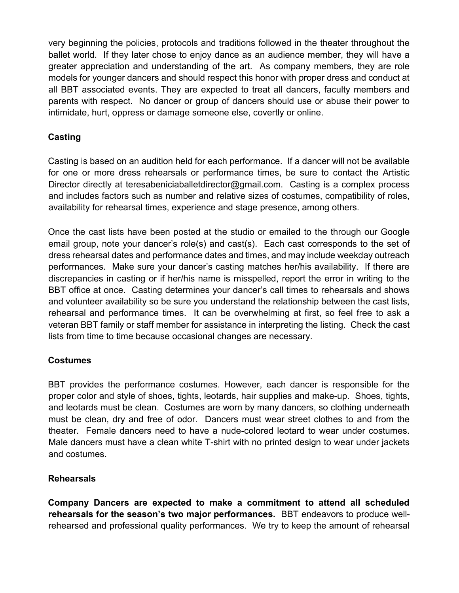very beginning the policies, protocols and traditions followed in the theater throughout the ballet world. If they later chose to enjoy dance as an audience member, they will have a greater appreciation and understanding of the art. As company members, they are role models for younger dancers and should respect this honor with proper dress and conduct at all BBT associated events. They are expected to treat all dancers, faculty members and parents with respect. No dancer or group of dancers should use or abuse their power to intimidate, hurt, oppress or damage someone else, covertly or online.

# Casting

Casting is based on an audition held for each performance. If a dancer will not be available for one or more dress rehearsals or performance times, be sure to contact the Artistic Director directly at teresabeniciaballetdirector@gmail.com. Casting is a complex process and includes factors such as number and relative sizes of costumes, compatibility of roles, availability for rehearsal times, experience and stage presence, among others.

Once the cast lists have been posted at the studio or emailed to the through our Google email group, note your dancer's role(s) and cast(s). Each cast corresponds to the set of dress rehearsal dates and performance dates and times, and may include weekday outreach performances. Make sure your dancer's casting matches her/his availability. If there are discrepancies in casting or if her/his name is misspelled, report the error in writing to the BBT office at once. Casting determines your dancer's call times to rehearsals and shows and volunteer availability so be sure you understand the relationship between the cast lists, rehearsal and performance times. It can be overwhelming at first, so feel free to ask a veteran BBT family or staff member for assistance in interpreting the listing. Check the cast lists from time to time because occasional changes are necessary.

### **Costumes**

BBT provides the performance costumes. However, each dancer is responsible for the proper color and style of shoes, tights, leotards, hair supplies and make-up. Shoes, tights, and leotards must be clean. Costumes are worn by many dancers, so clothing underneath must be clean, dry and free of odor. Dancers must wear street clothes to and from the theater. Female dancers need to have a nude-colored leotard to wear under costumes. Male dancers must have a clean white T-shirt with no printed design to wear under jackets and costumes.

# Rehearsals

Company Dancers are expected to make a commitment to attend all scheduled rehearsals for the season's two major performances. BBT endeavors to produce wellrehearsed and professional quality performances. We try to keep the amount of rehearsal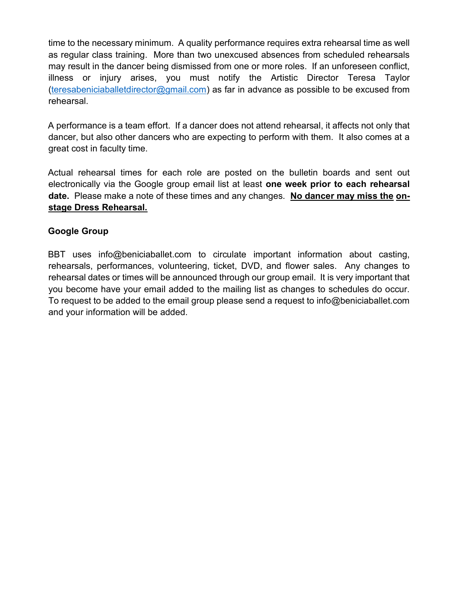time to the necessary minimum. A quality performance requires extra rehearsal time as well as regular class training. More than two unexcused absences from scheduled rehearsals may result in the dancer being dismissed from one or more roles. If an unforeseen conflict, illness or injury arises, you must notify the Artistic Director Teresa Taylor (teresabeniciaballetdirector@gmail.com) as far in advance as possible to be excused from rehearsal.

A performance is a team effort. If a dancer does not attend rehearsal, it affects not only that dancer, but also other dancers who are expecting to perform with them. It also comes at a great cost in faculty time.

Actual rehearsal times for each role are posted on the bulletin boards and sent out electronically via the Google group email list at least one week prior to each rehearsal date. Please make a note of these times and any changes. No dancer may miss the onstage Dress Rehearsal.

### Google Group

BBT uses info@beniciaballet.com to circulate important information about casting, rehearsals, performances, volunteering, ticket, DVD, and flower sales. Any changes to rehearsal dates or times will be announced through our group email. It is very important that you become have your email added to the mailing list as changes to schedules do occur. To request to be added to the email group please send a request to info@beniciaballet.com and your information will be added.